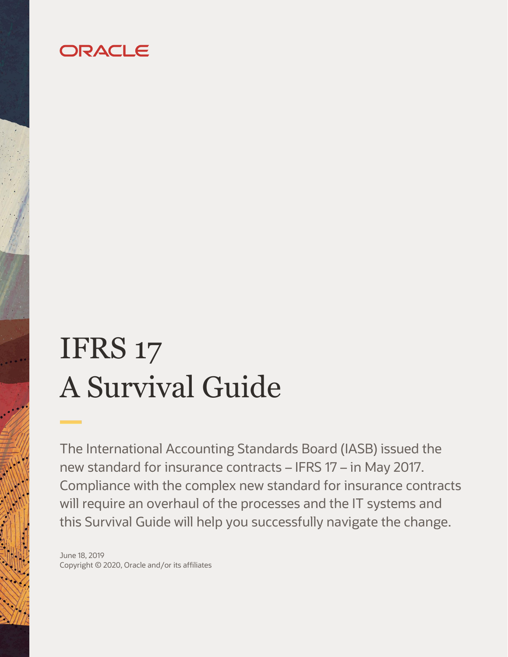## ORACLE

# IFRS 17 A Survival Guide

The International Accounting Standards Board (IASB) issued the new standard for insurance contracts – IFRS 17 – in May 2017. Compliance with the complex new standard for insurance contracts will require an overhaul of the processes and the IT systems and this Survival Guide will help you successfully navigate the change.

June 18, 2019 Copyright © 2020, Oracle and/or its affiliates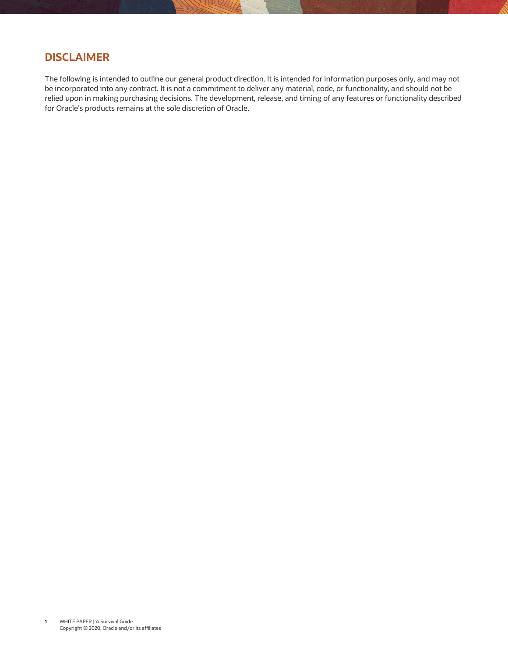## <span id="page-1-0"></span>**DISCLAIMER**

<span id="page-1-1"></span>The following is intended to outline our general product direction. It is intended for information purposes only, and may not be incorporated into any contract. It is not a commitment to deliver any material, code, or functionality, and should not be relied upon in making purchasing decisions. The development, release, and timing of any features or functionality described for Oracle's products remains at the sole discretion of Oracle.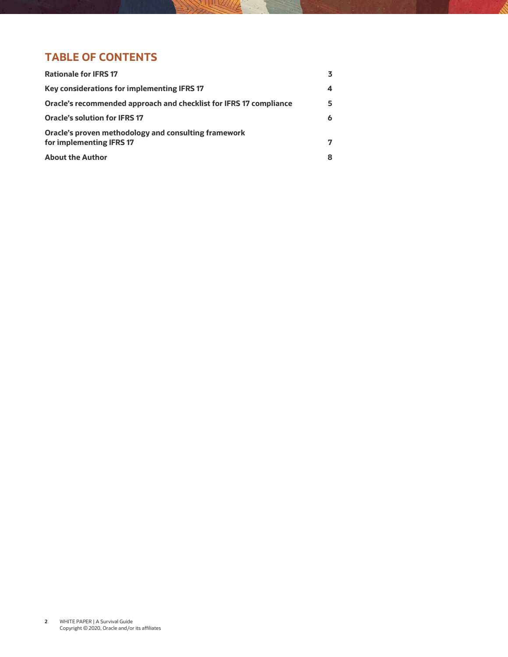## **TABLE OF CONTENTS**

| <b>Rationale for IFRS 17</b>                                                     |   |
|----------------------------------------------------------------------------------|---|
| Key considerations for implementing IFRS 17                                      | 4 |
| Oracle's recommended approach and checklist for IFRS 17 compliance               | 5 |
| <b>Oracle's solution for IFRS 17</b>                                             | 6 |
| Oracle's proven methodology and consulting framework<br>for implementing IFRS 17 | 7 |
| <b>About the Author</b>                                                          |   |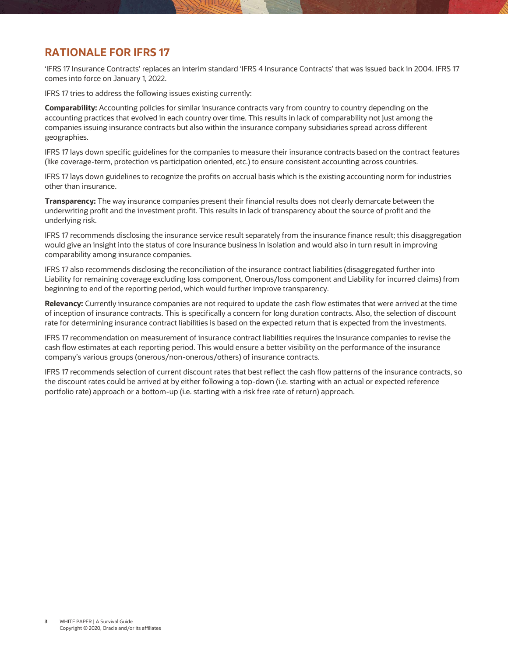#### **RATIONALE FOR IFRS 17**

'IFRS 17 Insurance Contracts' replaces an interim standard 'IFRS 4 Insurance Contracts' that was issued back in 2004. IFRS 17 comes into force on January 1, 2022.

IFRS 17 tries to address the following issues existing currently:

**Comparability:** Accounting policies for similar insurance contracts vary from country to country depending on the accounting practices that evolved in each country over time. This results in lack of comparability not just among the companies issuing insurance contracts but also within the insurance company subsidiaries spread across different geographies.

IFRS 17 lays down specific guidelines for the companies to measure their insurance contracts based on the contract features (like coverage-term, protection vs participation oriented, etc.) to ensure consistent accounting across countries.

IFRS 17 lays down guidelines to recognize the profits on accrual basis which is the existing accounting norm for industries other than insurance.

**Transparency:** The way insurance companies present their financial results does not clearly demarcate between the underwriting profit and the investment profit. This results in lack of transparency about the source of profit and the underlying risk.

IFRS 17 recommends disclosing the insurance service result separately from the insurance finance result; this disaggregation would give an insight into the status of core insurance business in isolation and would also in turn result in improving comparability among insurance companies.

IFRS 17 also recommends disclosing the reconciliation of the insurance contract liabilities (disaggregated further into Liability for remaining coverage excluding loss component, Onerous/loss component and Liability for incurred claims) from beginning to end of the reporting period, which would further improve transparency.

**Relevancy:** Currently insurance companies are not required to update the cash flow estimates that were arrived at the time of inception of insurance contracts. This is specifically a concern for long duration contracts. Also, the selection of discount rate for determining insurance contract liabilities is based on the expected return that is expected from the investments.

IFRS 17 recommendation on measurement of insurance contract liabilities requires the insurance companies to revise the cash flow estimates at each reporting period. This would ensure a better visibility on the performance of the insurance company's various groups (onerous/non-onerous/others) of insurance contracts.

IFRS 17 recommends selection of current discount rates that best reflect the cash flow patterns of the insurance contracts, so the discount rates could be arrived at by either following a top-down (i.e. starting with an actual or expected reference portfolio rate) approach or a bottom-up (i.e. starting with a risk free rate of return) approach.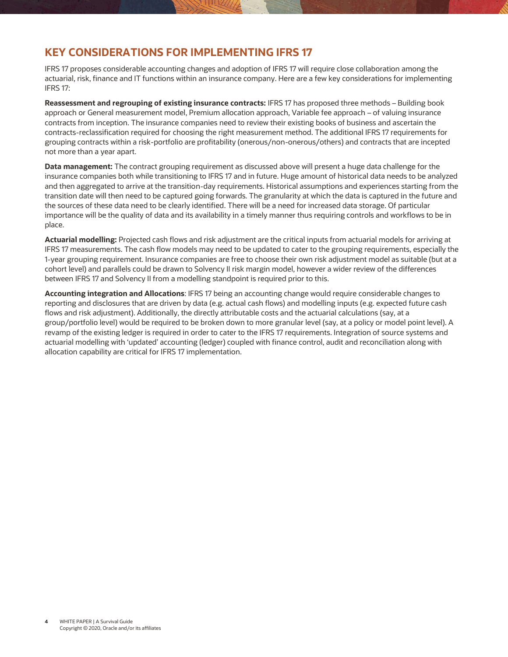#### **KEY CONSIDERATIONS FOR IMPLEMENTING IFRS 17**

IFRS 17 proposes considerable accounting changes and adoption of IFRS 17 will require close collaboration among the actuarial, risk, finance and IT functions within an insurance company. Here are a few key considerations for implementing IFRS 17:

**Reassessment and regrouping of existing insurance contracts:** IFRS 17 has proposed three methods – Building book approach or General measurement model, Premium allocation approach, Variable fee approach – of valuing insurance contracts from inception. The insurance companies need to review their existing books of business and ascertain the contracts-reclassification required for choosing the right measurement method. The additional IFRS 17 requirements for grouping contracts within a risk-portfolio are profitability (onerous/non-onerous/others) and contracts that are incepted not more than a year apart.

**Data management:** The contract grouping requirement as discussed above will present a huge data challenge for the insurance companies both while transitioning to IFRS 17 and in future. Huge amount of historical data needs to be analyzed and then aggregated to arrive at the transition-day requirements. Historical assumptions and experiences starting from the transition date will then need to be captured going forwards. The granularity at which the data is captured in the future and the sources of these data need to be clearly identified. There will be a need for increased data storage. Of particular importance will be the quality of data and its availability in a timely manner thus requiring controls and workflows to be in place.

**Actuarial modelling:** Projected cash flows and risk adjustment are the critical inputs from actuarial models for arriving at IFRS 17 measurements. The cash flow models may need to be updated to cater to the grouping requirements, especially the 1-year grouping requirement. Insurance companies are free to choose their own risk adjustment model as suitable (but at a cohort level) and parallels could be drawn to Solvency II risk margin model, however a wider review of the differences between IFRS 17 and Solvency II from a modelling standpoint is required prior to this.

**Accounting integration and Allocations**: IFRS 17 being an accounting change would require considerable changes to reporting and disclosures that are driven by data (e.g. actual cash flows) and modelling inputs (e.g. expected future cash flows and risk adjustment). Additionally, the directly attributable costs and the actuarial calculations (say, at a group/portfolio level) would be required to be broken down to more granular level (say, at a policy or model point level). A revamp of the existing ledger is required in order to cater to the IFRS 17 requirements. Integration of source systems and actuarial modelling with 'updated' accounting (ledger) coupled with finance control, audit and reconciliation along with allocation capability are critical for IFRS 17 implementation.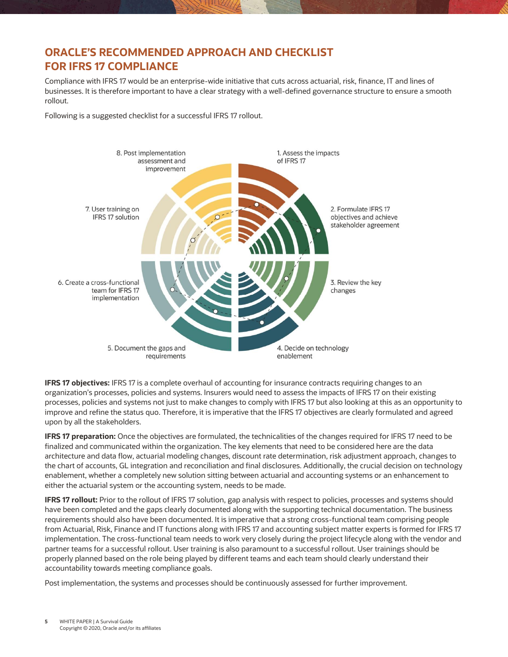### **ORACLE'S RECOMMENDED APPROACH AND CHECKLIST FOR IFRS 17 COMPLIANCE**

Compliance with IFRS 17 would be an enterprise-wide initiative that cuts across actuarial, risk, finance, IT and lines of businesses. It is therefore important to have a clear strategy with a well-defined governance structure to ensure a smooth rollout.

Following is a suggested checklist for a successful IFRS 17 rollout.



**IFRS 17 objectives:** IFRS 17 is a complete overhaul of accounting for insurance contracts requiring changes to an organization's processes, policies and systems. Insurers would need to assess the impacts of IFRS 17 on their existing processes, policies and systems not just to make changes to comply with IFRS 17 but also looking at this as an opportunity to improve and refine the status quo. Therefore, it is imperative that the IFRS 17 objectives are clearly formulated and agreed upon by all the stakeholders.

**IFRS 17 preparation:** Once the objectives are formulated, the technicalities of the changes required for IFRS 17 need to be finalized and communicated within the organization. The key elements that need to be considered here are the data architecture and data flow, actuarial modeling changes, discount rate determination, risk adjustment approach, changes to the chart of accounts, GL integration and reconciliation and final disclosures. Additionally, the crucial decision on technology enablement, whether a completely new solution sitting between actuarial and accounting systems or an enhancement to either the actuarial system or the accounting system, needs to be made.

**IFRS 17 rollout:** Prior to the rollout of IFRS 17 solution, gap analysis with respect to policies, processes and systems should have been completed and the gaps clearly documented along with the supporting technical documentation. The business requirements should also have been documented. It is imperative that a strong cross-functional team comprising people from Actuarial, Risk, Finance and IT functions along with IFRS 17 and accounting subject matter experts is formed for IFRS 17 implementation. The cross-functional team needs to work very closely during the project lifecycle along with the vendor and partner teams for a successful rollout. User training is also paramount to a successful rollout. User trainings should be properly planned based on the role being played by different teams and each team should clearly understand their accountability towards meeting compliance goals.

Post implementation, the systems and processes should be continuously assessed for further improvement.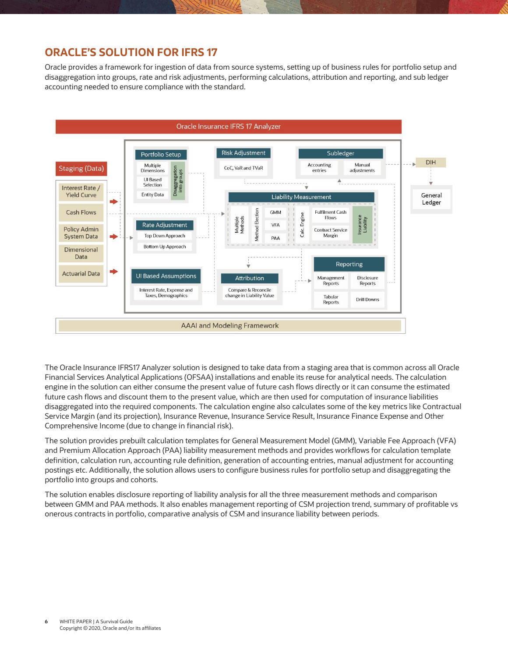#### **ORACLE'S SOLUTION FOR IFRS 17**

Oracle provides a framework for ingestion of data from source systems, setting up of business rules for portfolio setup and disaggregation into groups, rate and risk adjustments, performing calculations, attribution and reporting, and sub ledger accounting needed to ensure compliance with the standard.



The Oracle Insurance IFRS17 Analyzer solution is designed to take data from a staging area that is common across all Oracle Financial Services Analytical Applications (OFSAA) installations and enable its reuse for analytical needs. The calculation engine in the solution can either consume the present value of future cash flows directly or it can consume the estimated future cash flows and discount them to the present value, which are then used for computation of insurance liabilities disaggregated into the required components. The calculation engine also calculates some of the key metrics like Contractual Service Margin (and its projection), Insurance Revenue, Insurance Service Result, Insurance Finance Expense and Other Comprehensive Income (due to change in financial risk).

The solution provides prebuilt calculation templates for General Measurement Model (GMM), Variable Fee Approach (VFA) and Premium Allocation Approach (PAA) liability measurement methods and provides workflows for calculation template definition, calculation run, accounting rule definition, generation of accounting entries, manual adjustment for accounting postings etc. Additionally, the solution allows users to configure business rules for portfolio setup and disaggregating the portfolio into groups and cohorts.

The solution enables disclosure reporting of liability analysis for all the three measurement methods and comparison between GMM and PAA methods. It also enables management reporting of CSM projection trend, summary of profitable vs onerous contracts in portfolio, comparative analysis of CSM and insurance liability between periods.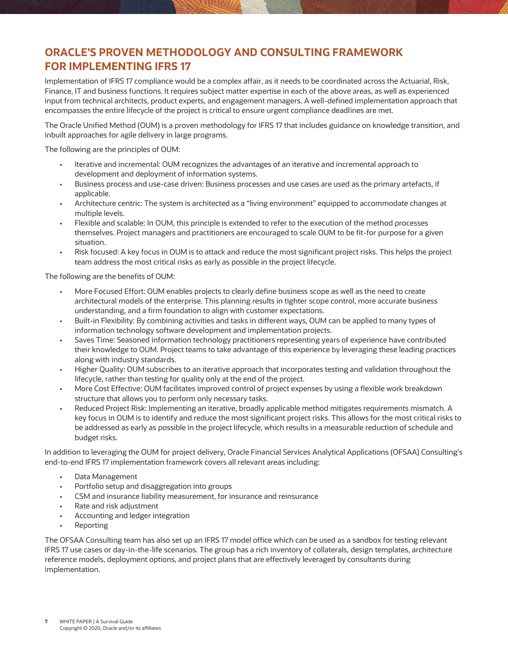## **ORACLE'S PROVEN METHODOLOGY AND CONSULTING FRAMEWORK FOR IMPLEMENTING IFRS 17**

Implementation of IFRS 17 compliance would be a complex affair, as it needs to be coordinated across the Actuarial, Risk, Finance, IT and business functions. It requires subject matter expertise in each of the above areas, as well as experienced input from technical architects, product experts, and engagement managers. A well-defined implementation approach that encompasses the entire lifecycle of the project is critical to ensure urgent compliance deadlines are met.

The Oracle Unified Method (OUM) is a proven methodology for IFRS 17 that includes guidance on knowledge transition, and inbuilt approaches for agile delivery in large programs.

The following are the principles of OUM:

- Iterative and incremental: OUM recognizes the advantages of an iterative and incremental approach to development and deployment of information systems.
- Business process and use-case driven: Business processes and use cases are used as the primary artefacts, if applicable.
- Architecture centric: The system is architected as a "living environment" equipped to accommodate changes at multiple levels.
- Flexible and scalable: In OUM, this principle is extended to refer to the execution of the method processes themselves. Project managers and practitioners are encouraged to scale OUM to be fit-for purpose for a given situation.
- Risk focused: A key focus in OUM is to attack and reduce the most significant project risks. This helps the project team address the most critical risks as early as possible in the project lifecycle.

The following are the benefits of OUM:

- More Focused Effort: OUM enables projects to clearly define business scope as well as the need to create architectural models of the enterprise. This planning results in tighter scope control, more accurate business understanding, and a firm foundation to align with customer expectations.
- Built-in Flexibility: By combining activities and tasks in different ways, OUM can be applied to many types of information technology software development and implementation projects.
- Saves Time: Seasoned information technology practitioners representing years of experience have contributed their knowledge to OUM. Project teams to take advantage of this experience by leveraging these leading practices along with industry standards.
- Higher Quality: OUM subscribes to an iterative approach that incorporates testing and validation throughout the lifecycle, rather than testing for quality only at the end of the project.
- More Cost Effective: OUM facilitates improved control of project expenses by using a flexible work breakdown structure that allows you to perform only necessary tasks.
- Reduced Project Risk: Implementing an iterative, broadly applicable method mitigates requirements mismatch. A key focus in OUM is to identify and reduce the most significant project risks. This allows for the most critical risks to be addressed as early as possible in the project lifecycle, which results in a measurable reduction of schedule and budget risks.

In addition to leveraging the OUM for project delivery, Oracle Financial Services Analytical Applications (OFSAA) Consulting's end-to-end IFRS 17 implementation framework covers all relevant areas including:

- Data Management
- Portfolio setup and disaggregation into groups
- CSM and insurance liability measurement, for insurance and reinsurance
- Rate and risk adjustment
- Accounting and ledger integration
- Reporting

The OFSAA Consulting team has also set up an IFRS 17 model office which can be used as a sandbox for testing relevant IFRS 17 use cases or day-in-the-life scenarios. The group has a rich inventory of collaterals, design templates, architecture reference models, deployment options, and project plans that are effectively leveraged by consultants during implementation.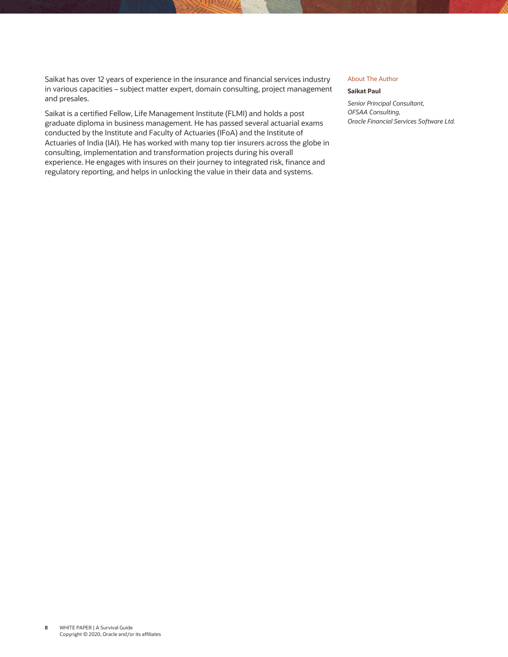Saikat has over 12 years of experience in the insurance and financial services industry in various capacities – subject matter expert, domain consulting, project management and presales.

Saikat is a certified Fellow, Life Management Institute (FLMI) and holds a post graduate diploma in business management. He has passed several actuarial exams conducted by the Institute and Faculty of Actuaries (IFoA) and the Institute of Actuaries of India (IAI). He has worked with many top tier insurers across the globe in consulting, implementation and transformation projects during his overall experience. He engages with insures on their journey to integrated risk, finance and regulatory reporting, and helps in unlocking the value in their data and systems.

#### About The Author

#### **Saikat Paul**

*Senior Principal Consultant, OFSAA Consulting, Oracle Financial Services Software Ltd.*